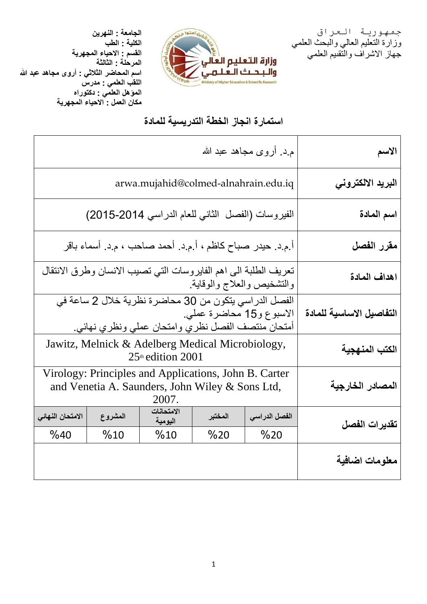جمهورية العراق وزارة التعليم العالي والبحث العلمي جهاز االشراف والتقىيم العلمي



**الجامعة : النهرين الكلية : الطب القسم : االحياء المجهرية المرحلة : الثالثة اسم المحاضر الثالثي : أروى مجاهد عبد هللا اللقب العلمي : مدرس المؤهل العلمي : دكتوراه مكان العمل : االحياء المجهرية**

# **استمارة انجاز الخطة التدريسية للمادة**

| الاسم                    | م.د. أروى مجاهد عبد الله                                                                                                               |         |                       |         |                  |  |
|--------------------------|----------------------------------------------------------------------------------------------------------------------------------------|---------|-----------------------|---------|------------------|--|
| البريد الالكتروني        | arwa.mujahid@colmed-alnahrain.edu.iq                                                                                                   |         |                       |         |                  |  |
| اسم المادة               | الفيروسات (الفصل الثاني للعام الدراسي 2014-2015)                                                                                       |         |                       |         |                  |  |
| مقرر الفصل               | أ م د. حيدر صباح كاظم ، أ م د. أحمد صاحب ، م د. أسماء باقر                                                                             |         |                       |         |                  |  |
| اهداف المادة             | تعريف الطلبة الى اهم الفايروسات التي تصيب الانسان وطرق الانتقال<br>والتشخيص والعلاج والوقاية                                           |         |                       |         |                  |  |
| التفاصيل الاساسية للمادة | الفصل الدراسي يتكون من 30 محاضرة نظرية خلال 2 ساعة في<br>الاسبوع و15 محاضرة عملي.<br>أمتحان منتصف الفصل نظري وامتحان عملي ونظري نهائي. |         |                       |         |                  |  |
| الكتب المنهجية           | Jawitz, Melnick & Adelberg Medical Microbiology,<br>25th edition 2001                                                                  |         |                       |         |                  |  |
| المصادر الخارجية         | Virology: Principles and Applications, John B. Carter<br>and Venetia A. Saunders, John Wiley & Sons Ltd,<br>2007.                      |         |                       |         |                  |  |
| تقديرات الفصل            | الفصل الدراسي                                                                                                                          | المختبر | الامتحانات<br>اليومية | المشروع | الامتحان النهائي |  |
|                          | %20                                                                                                                                    | %20     | %10                   | %10     | %40              |  |
| معلومات اضافية           |                                                                                                                                        |         |                       |         |                  |  |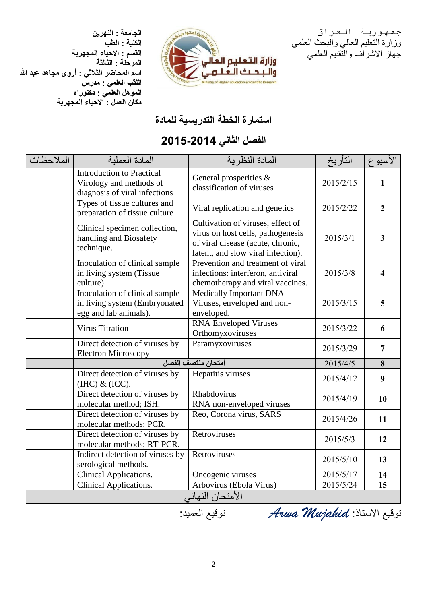**الجامعة : النهرين الكلية : الطب القسم : االحياء المجهرية المرحلة : الثالثة اسم المحاضر الثالثي : أروى مجاهد عبد هللا اللقب العلمي : مدرس المؤهل العلمي : دكتوراه مكان العمل : االحياء المجهرية**





### **استمارة الخطة التدريسية للمادة**

## **الفصل الثاني 4102-4102**

| الملاحظات        | المادة العملبة                                                                               | المادة النظر ية                                                                                                                                   | التأريخ               | الأسبوع                 |  |
|------------------|----------------------------------------------------------------------------------------------|---------------------------------------------------------------------------------------------------------------------------------------------------|-----------------------|-------------------------|--|
|                  | <b>Introduction to Practical</b><br>Virology and methods of<br>diagnosis of viral infections | General prosperities &<br>classification of viruses                                                                                               | 2015/2/15             | $\mathbf{1}$            |  |
|                  | Types of tissue cultures and<br>preparation of tissue culture                                | Viral replication and genetics                                                                                                                    | 2015/2/22             | $\overline{2}$          |  |
|                  | Clinical specimen collection,<br>handling and Biosafety<br>technique.                        | Cultivation of viruses, effect of<br>virus on host cells, pathogenesis<br>of viral disease (acute, chronic,<br>latent, and slow viral infection). | 2015/3/1              | $\overline{\mathbf{3}}$ |  |
|                  | Inoculation of clinical sample<br>in living system (Tissue<br>culture)                       | Prevention and treatment of viral<br>infections: interferon, antiviral<br>chemotherapy and viral vaccines.                                        | 2015/3/8              | $\overline{\mathbf{4}}$ |  |
|                  | Inoculation of clinical sample<br>in living system (Embryonated<br>egg and lab animals).     | Medically Important DNA<br>Viruses, enveloped and non-<br>enveloped.                                                                              | 2015/3/15             | 5                       |  |
|                  | <b>Virus Titration</b>                                                                       | <b>RNA Enveloped Viruses</b><br>Orthomyxoviruses                                                                                                  | 2015/3/22             | 6                       |  |
|                  | Direct detection of viruses by<br><b>Electron Microscopy</b>                                 | Paramyxoviruses                                                                                                                                   | 2015/3/29<br>2015/4/5 | $\overline{7}$          |  |
|                  | أمتحان منتصف الفصل                                                                           |                                                                                                                                                   |                       | 8                       |  |
|                  | Direct detection of viruses by<br>$(HIC)$ & $(ICC)$ .                                        | Hepatitis viruses                                                                                                                                 | 2015/4/12             | 9                       |  |
|                  | Direct detection of viruses by<br>molecular method; ISH.                                     | Rhabdovirus<br>RNA non-enveloped viruses                                                                                                          | 2015/4/19             | 10                      |  |
|                  | Direct detection of viruses by<br>molecular methods; PCR.                                    | Reo, Corona virus, SARS                                                                                                                           | 2015/4/26             | 11                      |  |
|                  | Direct detection of viruses by<br>molecular methods; RT-PCR.                                 | Retroviruses                                                                                                                                      | 2015/5/3              | 12                      |  |
|                  | Indirect detection of viruses by<br>serological methods.                                     | Retroviruses                                                                                                                                      | 2015/5/10             | 13                      |  |
|                  | Clinical Applications.                                                                       | Oncogenic viruses                                                                                                                                 | 2015/5/17             | 14                      |  |
|                  | <b>Clinical Applications.</b>                                                                | Arbovirus (Ebola Virus)                                                                                                                           | 2015/5/24             | 15                      |  |
| الأمتحان النهائي |                                                                                              |                                                                                                                                                   |                       |                         |  |

توقيع االستاذ: *Mujahid Arwa* توقيع العميد: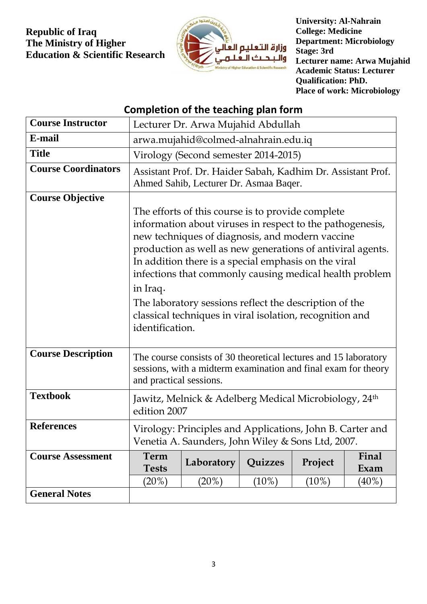#### **Republic of Iraq The Ministry of Higher Education & Scientific Research**



**University: Al-Nahrain College: Medicine Department: Microbiology Stage: 3rd Lecturer name: Arwa Mujahid Academic Status: Lecturer Qualification: PhD. Place of work: Microbiology**

## **Completion of the teaching plan form**

| <b>Course Instructor</b>   | Lecturer Dr. Arwa Mujahid Abdullah                                                                                                                                                                                                                                                                                                                                                                                                                                                                      |            |          |          |               |
|----------------------------|---------------------------------------------------------------------------------------------------------------------------------------------------------------------------------------------------------------------------------------------------------------------------------------------------------------------------------------------------------------------------------------------------------------------------------------------------------------------------------------------------------|------------|----------|----------|---------------|
| E-mail                     | arwa.mujahid@colmed-alnahrain.edu.iq                                                                                                                                                                                                                                                                                                                                                                                                                                                                    |            |          |          |               |
| <b>Title</b>               | Virology (Second semester 2014-2015)                                                                                                                                                                                                                                                                                                                                                                                                                                                                    |            |          |          |               |
| <b>Course Coordinators</b> | Assistant Prof. Dr. Haider Sabah, Kadhim Dr. Assistant Prof.<br>Ahmed Sahib, Lecturer Dr. Asmaa Baqer.                                                                                                                                                                                                                                                                                                                                                                                                  |            |          |          |               |
| <b>Course Objective</b>    | The efforts of this course is to provide complete<br>information about viruses in respect to the pathogenesis,<br>new techniques of diagnosis, and modern vaccine<br>production as well as new generations of antiviral agents.<br>In addition there is a special emphasis on the viral<br>infections that commonly causing medical health problem<br>in Iraq.<br>The laboratory sessions reflect the description of the<br>classical techniques in viral isolation, recognition and<br>identification. |            |          |          |               |
| <b>Course Description</b>  | The course consists of 30 theoretical lectures and 15 laboratory<br>sessions, with a midterm examination and final exam for theory<br>and practical sessions.                                                                                                                                                                                                                                                                                                                                           |            |          |          |               |
| <b>Textbook</b>            | Jawitz, Melnick & Adelberg Medical Microbiology, 24 <sup>th</sup><br>edition 2007                                                                                                                                                                                                                                                                                                                                                                                                                       |            |          |          |               |
| <b>References</b>          | Virology: Principles and Applications, John B. Carter and<br>Venetia A. Saunders, John Wiley & Sons Ltd, 2007.                                                                                                                                                                                                                                                                                                                                                                                          |            |          |          |               |
| <b>Course Assessment</b>   | Term<br><b>Tests</b>                                                                                                                                                                                                                                                                                                                                                                                                                                                                                    | Laboratory | Quizzes  | Project  | Final<br>Exam |
|                            | (20%)                                                                                                                                                                                                                                                                                                                                                                                                                                                                                                   | (20%)      | $(10\%)$ | $(10\%)$ | $(40\%)$      |
| <b>General Notes</b>       |                                                                                                                                                                                                                                                                                                                                                                                                                                                                                                         |            |          |          |               |